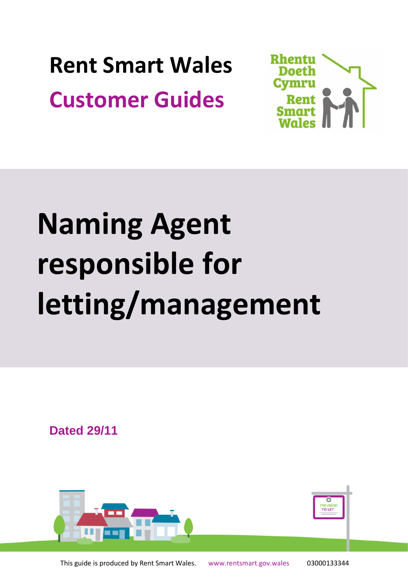**Rent Smart Wales Customer Guides**



# **Naming Agent responsible for letting/management**

**Dated 29/11**

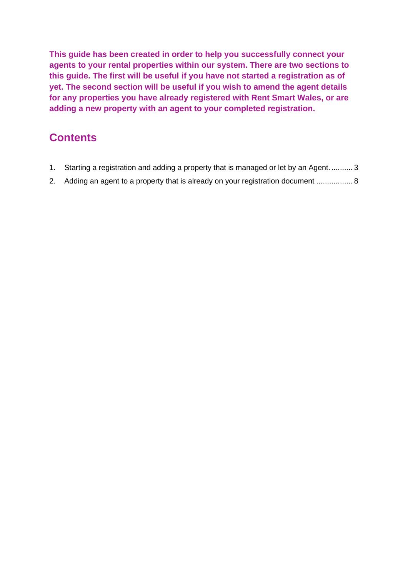**This guide has been created in order to help you successfully connect your agents to your rental properties within our system. There are two sections to this guide. The first will be useful if you have not started a registration as of yet. The second section will be useful if you wish to amend the agent details for any properties you have already registered with Rent Smart Wales, or are adding a new property with an agent to your completed registration.**

## **Contents**

- 1. [Starting a registration and adding a property that is managed or let by an Agent...........](#page-2-0) 3
- 2. [Adding an agent to a property that is already on your registration document](#page-7-0) ................. 8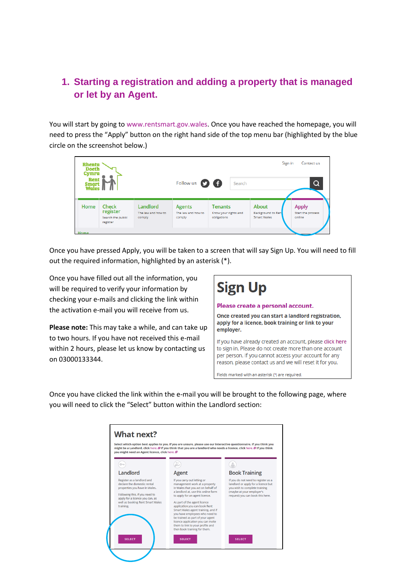#### <span id="page-2-0"></span>**1. Starting a registration and adding a property that is managed or let by an Agent.**

You will start by going to [www.rentsmart.gov.wales.](http://www.rentsmart.gov.wales/) Once you have reached the homepage, you will need to press the "Apply" button on the right hand side of the top menu bar (highlighted by the blue circle on the screenshot below.)

| <b>Rhentu</b><br><b>Doeth</b><br>Cymru<br>Rent<br><b>Smart</b><br><b>Wales</b> |                                                           |                                          |                                               | Sign in<br>Contact us                          |  |                                                   |   |                                             |
|--------------------------------------------------------------------------------|-----------------------------------------------------------|------------------------------------------|-----------------------------------------------|------------------------------------------------|--|---------------------------------------------------|---|---------------------------------------------|
|                                                                                |                                                           | Follow us <b>O G</b>                     |                                               | Search                                         |  |                                                   | Q |                                             |
| Home                                                                           | <b>Check</b><br>register<br>Search the public<br>register | Landlord<br>The law and how to<br>comply | <b>Agents</b><br>The law and how to<br>comply | Tenants<br>Know your rights and<br>obligations |  | About<br><b>Background to Rent</b><br>Smart Wales |   | <b>Apply</b><br>Start the process<br>online |
| Home                                                                           |                                                           |                                          |                                               |                                                |  |                                                   |   |                                             |

Once you have pressed Apply, you will be taken to a screen that will say Sign Up. You will need to fill out the required information, highlighted by an asterisk (\*).

Once you have filled out all the information, you will be required to verify your information by checking your e-mails and clicking the link within the activation e-mail you will receive from us.

**Please note:** This may take a while, and can take up to two hours. If you have not received this e-mail within 2 hours, please let us know by contacting us on 03000133344.



Once you have clicked the link within the e-mail you will be brought to the following page, where you will need to click the "Select" button within the Landlord section:

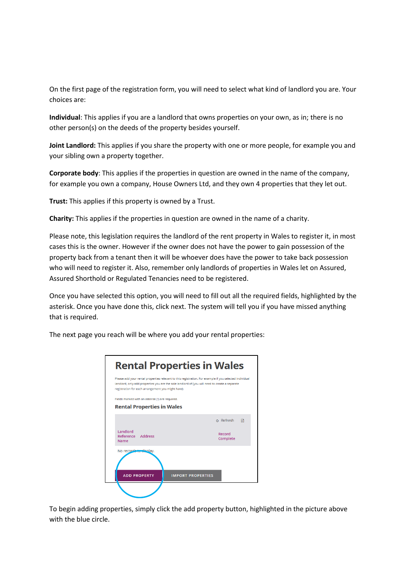On the first page of the registration form, you will need to select what kind of landlord you are. Your choices are:

**Individual**: This applies if you are a landlord that owns properties on your own, as in; there is no other person(s) on the deeds of the property besides yourself.

**Joint Landlord:** This applies if you share the property with one or more people, for example you and your sibling own a property together.

**Corporate body**: This applies if the properties in question are owned in the name of the company, for example you own a company, House Owners Ltd, and they own 4 properties that they let out.

**Trust:** This applies if this property is owned by a Trust.

**Charity:** This applies if the properties in question are owned in the name of a charity.

Please note, this legislation requires the landlord of the rent property in Wales to register it, in most cases this is the owner. However if the owner does not have the power to gain possession of the property back from a tenant then it will be whoever does have the power to take back possession who will need to register it. Also, remember only landlords of properties in Wales let on Assured, Assured Shorthold or Regulated Tenancies need to be registered.

Once you have selected this option, you will need to fill out all the required fields, highlighted by the asterisk. Once you have done this, click next. The system will tell you if you have missed anything that is required.

| The next page you reach will be where you add your rental properties: |
|-----------------------------------------------------------------------|
|-----------------------------------------------------------------------|

| <b>Rental Properties in Wales</b>                                                                                                                                                                                                                               |                    |  |
|-----------------------------------------------------------------------------------------------------------------------------------------------------------------------------------------------------------------------------------------------------------------|--------------------|--|
| Please add your rental properties relevant to this registration. For example if you selected individual<br>landlord, only add properties you are the sole landlord of (you will need to create a separate<br>registration for each arrangement you might have). |                    |  |
| Fields marked with an asterisk (*) are required.                                                                                                                                                                                                                |                    |  |
| <b>Rental Properties in Wales</b>                                                                                                                                                                                                                               |                    |  |
|                                                                                                                                                                                                                                                                 | ර Refresh<br>同     |  |
| Landlord<br>Reference Address<br><b>Name</b>                                                                                                                                                                                                                    | Record<br>Complete |  |
| No records to display.                                                                                                                                                                                                                                          |                    |  |
|                                                                                                                                                                                                                                                                 |                    |  |
| <b>ADD PROPERTY</b><br><b>IMPORT PROPERTIES</b>                                                                                                                                                                                                                 |                    |  |
|                                                                                                                                                                                                                                                                 |                    |  |

To begin adding properties, simply click the add property button, highlighted in the picture above with the blue circle.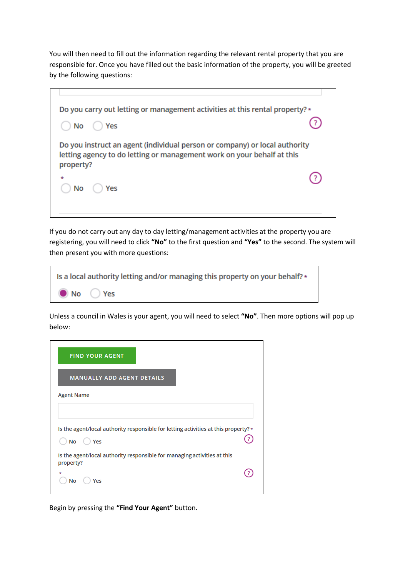You will then need to fill out the information regarding the relevant rental property that you are responsible for. Once you have filled out the basic information of the property, you will be greeted by the following questions:

|           | Do you carry out letting or management activities at this rental property? *                                                                         |  |
|-----------|------------------------------------------------------------------------------------------------------------------------------------------------------|--|
| No        | Yes                                                                                                                                                  |  |
|           |                                                                                                                                                      |  |
| property? | Do you instruct an agent (individual person or company) or local authority<br>letting agency to do letting or management work on your behalf at this |  |

If you do not carry out any day to day letting/management activities at the property you are registering, you will need to click **"No"** to the first question and **"Yes"** to the second. The system will then present you with more questions:

| Is a local authority letting and/or managing this property on your behalf? * |
|------------------------------------------------------------------------------|
| $\bullet$ No $\circ$ Yes                                                     |

Unless a council in Wales is your agent, you will need to select **"No"**. Then more options will pop up below:

| <b>FIND YOUR AGENT</b>                                                                |  |
|---------------------------------------------------------------------------------------|--|
| <b>MANUALLY ADD AGENT DETAILS</b>                                                     |  |
| <b>Agent Name</b>                                                                     |  |
| Is the agent/local authority responsible for letting activities at this property?*    |  |
| No<br>Yes                                                                             |  |
| Is the agent/local authority responsible for managing activities at this<br>property? |  |
| Yes<br>No                                                                             |  |

Begin by pressing the **"Find Your Agent"** button.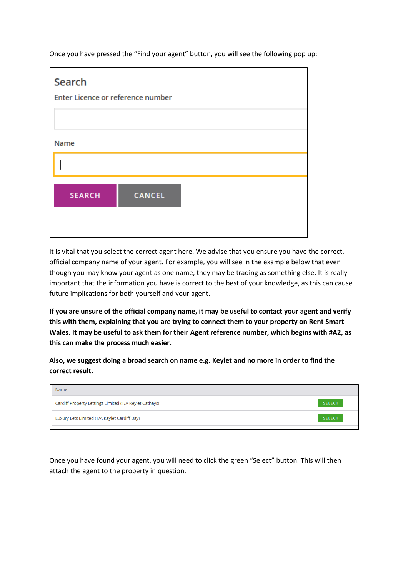Once you have pressed the "Find your agent" button, you will see the following pop up:

| Search                            |               |  |
|-----------------------------------|---------------|--|
| Enter Licence or reference number |               |  |
|                                   |               |  |
| Name                              |               |  |
|                                   |               |  |
|                                   |               |  |
|                                   |               |  |
| <b>SEARCH</b>                     | <b>CANCEL</b> |  |
|                                   |               |  |
|                                   |               |  |

It is vital that you select the correct agent here. We advise that you ensure you have the correct, official company name of your agent. For example, you will see in the example below that even though you may know your agent as one name, they may be trading as something else. It is really important that the information you have is correct to the best of your knowledge, as this can cause future implications for both yourself and your agent.

**If you are unsure of the official company name, it may be useful to contact your agent and verify this with them, explaining that you are trying to connect them to your property on Rent Smart Wales. It may be useful to ask them for their Agent reference number, which begins with #A2, as this can make the process much easier.**

**Also, we suggest doing a broad search on name e.g. Keylet and no more in order to find the correct result.**

| Name                                                   |               |
|--------------------------------------------------------|---------------|
| Cardiff Property Lettings Limited (T/A Keylet Cathays) | <b>SELECT</b> |
| Luxury Lets Limited (T/A Keylet Cardiff Bay)           | <b>SELECT</b> |

Once you have found your agent, you will need to click the green "Select" button. This will then attach the agent to the property in question.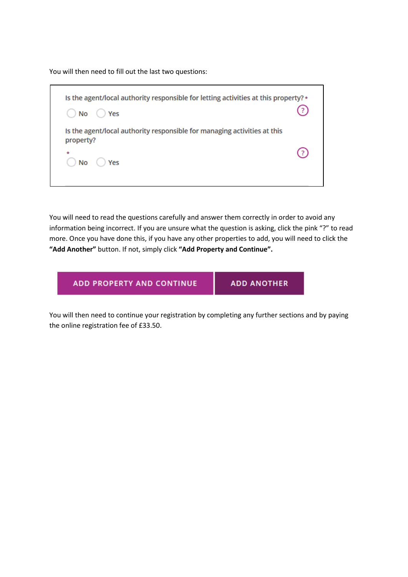You will then need to fill out the last two questions:

| Is the agent/local authority responsible for letting activities at this property?*<br>$()$ No $()$ Yes |  |
|--------------------------------------------------------------------------------------------------------|--|
| Is the agent/local authority responsible for managing activities at this<br>property?<br>÷<br>No Yes   |  |

You will need to read the questions carefully and answer them correctly in order to avoid any information being incorrect. If you are unsure what the question is asking, click the pink "?" to read more. Once you have done this, if you have any other properties to add, you will need to click the **"Add Another"** button. If not, simply click **"Add Property and Continue".**

ADD PROPERTY AND CONTINUE

**ADD ANOTHER** 

You will then need to continue your registration by completing any further sections and by paying the online registration fee of £33.50.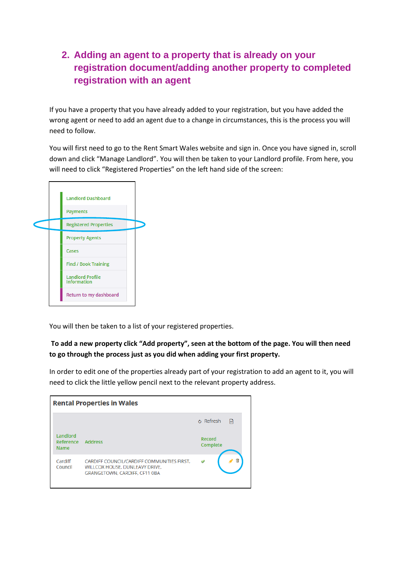### <span id="page-7-0"></span>**2. Adding an agent to a property that is already on your registration document/adding another property to completed registration with an agent**

If you have a property that you have already added to your registration, but you have added the wrong agent or need to add an agent due to a change in circumstances, this is the process you will need to follow.

You will first need to go to the Rent Smart Wales website and sign in. Once you have signed in, scroll down and click "Manage Landlord". You will then be taken to your Landlord profile. From here, you will need to click "Registered Properties" on the left hand side of the screen:



You will then be taken to a list of your registered properties.

#### **To add a new property click "Add property", seen at the bottom of the page. You will then need to go through the process just as you did when adding your first property.**

In order to edit one of the properties already part of your registration to add an agent to it, you will need to click the little yellow pencil next to the relevant property address.

|                                      | <b>Rental Properties in Wales</b>                                                                                    |                    |   |
|--------------------------------------|----------------------------------------------------------------------------------------------------------------------|--------------------|---|
|                                      |                                                                                                                      | ♂ Refresh          | ⊶ |
| Landlord<br>Reference<br><b>Name</b> | <b>Address</b>                                                                                                       | Record<br>Complete |   |
| Cardiff<br>Council                   | CARDIFF COUNCIL/CARDIFF COMMUNITIES FIRST.<br>WILLCOX HOUSE, DUNLEAVY DRIVE,<br><b>GRANGETOWN, CARDIFF, CF11 0BA</b> |                    |   |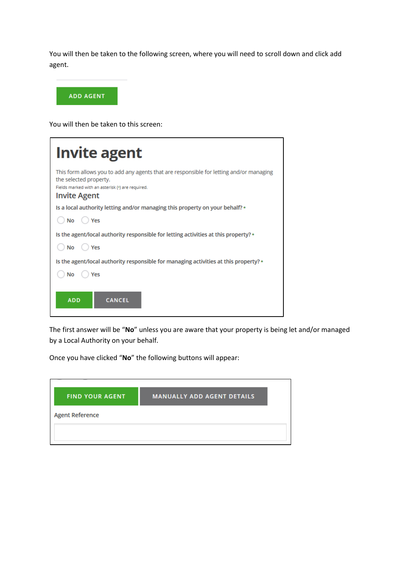You will then be taken to the following screen, where you will need to scroll down and click add agent.



You will then be taken to this screen:

| <b>Invite agent</b>                                                                                                                                                                          |
|----------------------------------------------------------------------------------------------------------------------------------------------------------------------------------------------|
| This form allows you to add any agents that are responsible for letting and/or managing<br>the selected property.<br>Fields marked with an asterisk (*) are required.<br><b>Invite Agent</b> |
| Is a local authority letting and/or managing this property on your behalf? $*$                                                                                                               |
| No<br>Yes                                                                                                                                                                                    |
| Is the agent/local authority responsible for letting activities at this property? $\star$                                                                                                    |
| No<br>Yes                                                                                                                                                                                    |
| Is the agent/local authority responsible for managing activities at this property? $*$                                                                                                       |
| No<br>Yes                                                                                                                                                                                    |
| <b>ADD</b><br><b>CANCEL</b>                                                                                                                                                                  |

The first answer will be "**No**" unless you are aware that your property is being let and/or managed by a Local Authority on your behalf.

Once you have clicked "**No**" the following buttons will appear:

| <b>FIND YOUR AGENT</b> | <b>MANUALLY ADD AGENT DETAILS</b> |
|------------------------|-----------------------------------|
| <b>Agent Reference</b> |                                   |
|                        |                                   |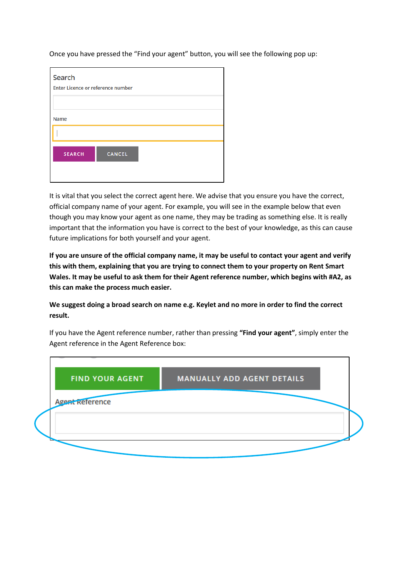Once you have pressed the "Find your agent" button, you will see the following pop up:

| Search<br>Enter Licence or reference number |               |  |  |  |  |
|---------------------------------------------|---------------|--|--|--|--|
| Name                                        |               |  |  |  |  |
|                                             |               |  |  |  |  |
| <b>SEARCH</b>                               | <b>CANCEL</b> |  |  |  |  |
|                                             |               |  |  |  |  |

It is vital that you select the correct agent here. We advise that you ensure you have the correct, official company name of your agent. For example, you will see in the example below that even though you may know your agent as one name, they may be trading as something else. It is really important that the information you have is correct to the best of your knowledge, as this can cause future implications for both yourself and your agent.

**If you are unsure of the official company name, it may be useful to contact your agent and verify this with them, explaining that you are trying to connect them to your property on Rent Smart Wales. It may be useful to ask them for their Agent reference number, which begins with #A2, as this can make the process much easier.**

**We suggest doing a broad search on name e.g. Keylet and no more in order to find the correct result.**

If you have the Agent reference number, rather than pressing **"Find your agent"**, simply enter the Agent reference in the Agent Reference box: